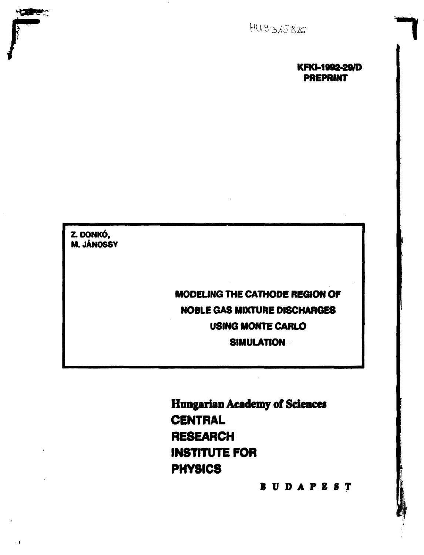

# **KFKM902-29/D PREPRINT**

**Z. DONKÓ, M. JÁNOSSY** 

**Comment** 

 $\sim 1$ 

**MODEUNG THE CATHODE REGION OF NOBLE GAS MIXTURE DISCHARGES USING MONTE CARLO SIMULATION** 

**Hungarian Academy of Sciences CENTRAL RESEARCH INSTITUTE FOR PHYSICS** 

**BUDAPES T**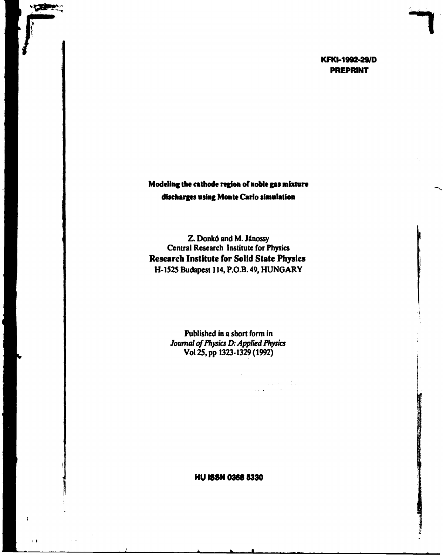# KFKI-1992-29/D **PREPRINT**

**Modeling the cathode region of noble gas mixture discharges vsing Monte Carlo simalation** 

**No property** 

 $\sim 1$ 

Z. Donkó and M. Jánossy Central Research Institute for Physics **Research Institute for Solid State Physics**  H-1525 Budapest 114, P.O.B. 49, HUNGARY

> Published in **a** short form in *Journal of Physics D: Applied Physics*  Vol 25, pp 1323-1329 (1992)

> > $\sim 10^{11}$  km s  $^{-1}$  Mag.

**HU I88N 0368 5330**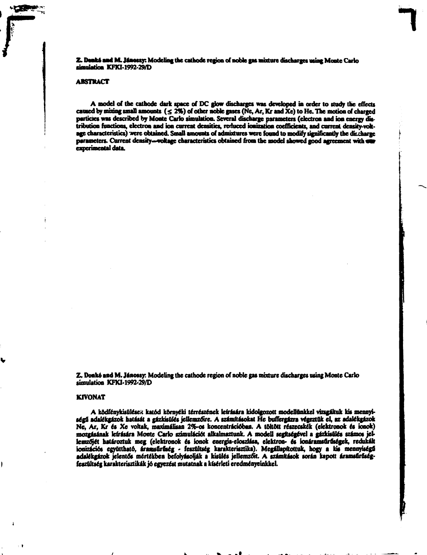**Z. Deáké and М. Jáaossv: Modeling tbe cathode region of noble gas entere discharges using Monte Cario simulation KFKM992-29/D** 

#### **ABSTHACT**

**A model of the cathode dark space of DC glow discharges was developed in order to study the effects**  caused by mixing small amounts  $( \leq 2\%)$  of other noble gases (Ne, Ar, Kr and Xe) to He. The motion of charged particies was described by Monte Carlo simulation. Several discharge parameters (electron and ion energy distribution functions, electron and ion current densities, reduced ionization coefficients, and current density-voltage characteristics) were obtained. Small amounts of admixtures were found to modify significantly the discharge parameters. Current density-woltage characteristics obtained from the model showed good agreement with sur-<br>experimental data.

**Z. Donko and M. Jánossy. Modeling the cathode region of noble gas mixture discharges using Monte Carlo simulation KFKM992-29/D** 

#### **KIVONAT**

A ködfénykisülések katód környéki térrészének leírására kidolgozott modellünkkel vízsgáltuk kis mennyiségű adalékgázok hatását a gázkisülés jellemzőire. A számításokat He buffergázra végeztük el, az adalékgázok **Ne, Ar, Kr és Xe voltak, maximálisan 2%-os koncentrációban. A töltött részecskék (elektronok és ionok)**  mozgásának leírására Monte Carlo szimulációt alkalmaztunk. A modell segítségével a gázkisülés számos jel**lemzőjét határoztuk meg (elektronok és ionok energia-eloszlása, elektron- és ionáramsűrűségek, redukált ionizációs együttható, áramsűrűség • feszültség karakterisztika). Megállapítottuk, hogy a kis mennyiségű adalékgázok jelentős mértékben befolyásolják a kisülés jellemzőit. A számítások során kapott áramsűrűseg**feszültség karakterisztikák jó egyezést mutatnak a kísérleti eredményeinkkel.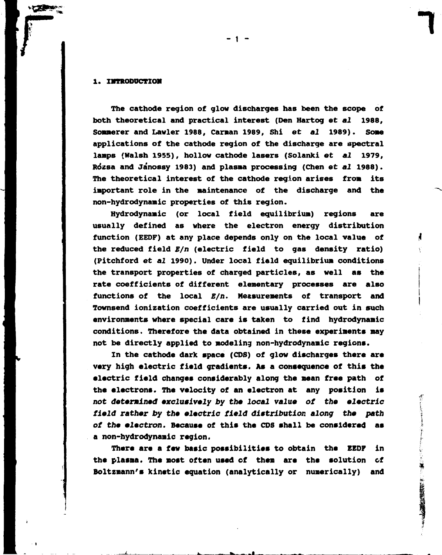#### **1. IMTRODUCTIOH**

**The cathode region of glow discharges has been the scope of both theoretical and practical interest (Den Hartog et** *al* **1988, Sommerer and Lawler 1988, Canaan 1989, Shi et** *al* **1989). Sose applications of the cathode region of the discharge are spectral lamps (Walsh 1955), hollow cathode lasers (Solanki et** *al* **1979, Rozsa and Janossy 1983) and plasma processing (Chen et** *al* **1988). The theoretical interest of the cathode region arises from its important role in the maintenance of the discharge and the non-hydrodynamic properties of this region.** 

**Hydrodynamic (or local field equilibrium) regions are usually defined as where the electron energy distribution function (EEDF) at any place depends only on the local value of the reduced field** *В/п* **(electric field to gas density ratio) (Pitchford et** *al* **1990). Under local field equilibrium conditions the transport properties of charged particles, as well as the rate coefficients of different elementary processes are also functions of the local** *В/п.* **Measurements of transport and Townsend ionization coefficients are usually carried out in such environments where special care is taken to find hydrodynamic conditions. Therefore the data obtained in these experiments may not be directly applied to modeling non-hydrodynamic regions.** 

**In the cathode dark space (CDS) of glow discharges there are very high electric field gradients. As a consequence of this the electric field changes considerably along the mean free path of the electrons. The velocity of an electron at any position is not determined exclusively** *by* **the** *local* **value** *oi* **the electric**  *field rather by the electric field* **distribution** *along the path of the electron.* **Because of this the CDS shall be considered as a non-hydrodynamic region.** 

**There are a few basic possibilities to obtain the EEDF in the plasma. The most often used of them are the solution of Boltzmann's kinetic equation (analytically or numerically) and** 

2. 经总线 计数据文件

**- 1 -**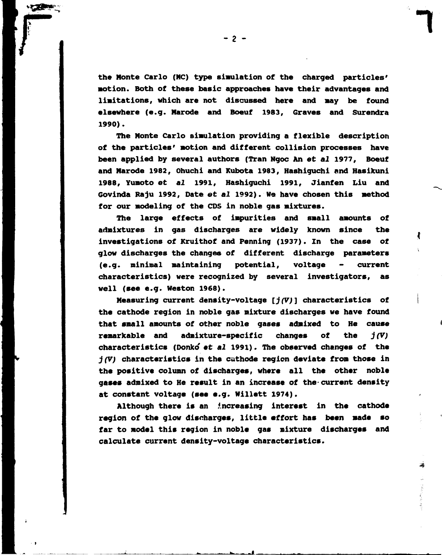**the Monte Carlo (MC) type simulation of the charged particles' motion. Both of these basic approaches have their advantages and limitations, which are not discussed here and may be found elsewhere (e.g. Marode and Boeuf 1983, Graves and Surendra 1990).** 

**The Monte Carlo simulation providing a flexible description of the particles' motion and different collision processes have been applied by several authors (Tran Ngoc An et** *al* **1977, Boeuf and Marode 1982, Ohuchi and Kubota 1983, Hashiguchi and Hasikuni 1988, Yumoto et** *al* **1991, Hashiguchi 1991, Jianfen Liu and Govinda Raju 1992, Date et** *al* **1992). We have chosen this method for our modeling of the CDS in noble gas mixtures.** 

**The large effects of impurities and small amounts of admixtures in gas discharges are widely known since the investigations of Kruithof and Penning (1937). In the case of glow discharges the changes of different discharge parameters (e.g. minimal maintaining potential, voltage - current characteristics) were recognized by several investigators, as well (see e.g. Weston 1968).** 

**Measuring current density-voltage** *[j(V)]* **characteristics of the cathode region in noble gas mixture discharges we have found that small amounts of other noble gases admixed to He cause remarkable and admixture-specific changes of the** *j(V)*  **characteristics (Donko et** *al* **1991). The observed changes of the**  *j(V)* **characteristics in the cathode region deviate from those in the positive column of dischargee, where all the other noble gases admixed to He result in an increase of the-current density at constant voltage (see e.g. Willett 1974).** 

**Although there is an increasing interest in the cathode region of the glow discharges, little effort has been made so far to model this region in noble gas mixture dischargee and calculate current density-voltage characteristics.** 

- 2 -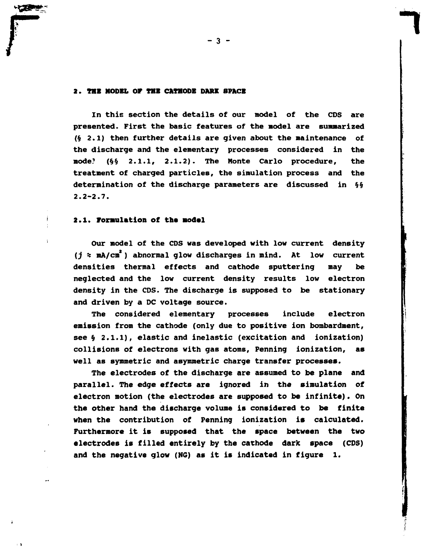# **2. THE MODEL OP THE CATHODE DARK SPACE**

**In this section the details of our model of the CDS are presented. First the basic features of the model are summarized (§ 2.1) then further details are given about the maintenance of the discharge and the elementary processes considered in the mode? (§§ 2.1.1, 2.1.2). The Monte Carlo procedure, the treatment of charged particles, the simulation process and the determination of the discharge parameters are discussed in §§ 2.2-2.7.** 

### **2.1. Formulation of the model**

**Our model of the CDS was developed with low current density**  *(j* **\* mA/cm ) abnormal glow discharges in mind. At low current densities thermal effects and cathode sputtering may be neglected and the low current density results low electron density in the CDS. The discharge is supposed to be stationary and driven by a DC voltage source.** 

**The considered elementary processes include electron emission from the cathode (only due to positive ion bombardment, see § 2.1.1), elastic and inelastic (excitation and ionization) collisions of electrons with gas atoms, Penning ionization, as well as symmetric and asymmetric charge transfer processes.** 

**The electrodes of the discharge are assumed to be plane and parallel. The edge effects are ignored in the simulation of electron motion (the electrodes are supposed to be infinite). On the other hand the discharge volume is considered to be finite when the contribution of Penning ionization is calculated. Furthermore it is supposed that the space between the two electrodes is filled entirely by the cathode dark space (CDS) and the negative glow (NG) as it is indicated in figure 1.**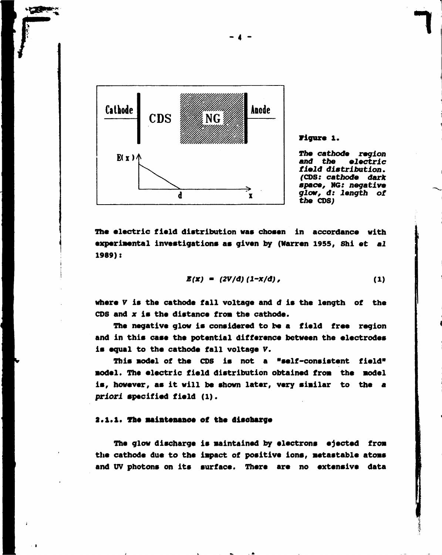

**Figure 1.** 

**The** *cathode region and the electric field distribution. (CDS: cathode dark space,* **NG:** *negative glow, d: length of the CDS)* 

**The electric field distribution was chosen in accordance with experimental investigations as given by (Warren 1955, Shi et** *al*  **1989)t** 

$$
E(x) = (2V/d) (1-x/d), \qquad (1)
$$

where *V* is the cathode fall voltage and *d* is the length of the **CDS and** *x* **is the distance fron the cathode.** 

**The negative glow is considered to be a field free region and in this case the potential difference between the electrodes is equal to the cathode fall voltage** *V.* 

**This model of the CDS is not a "self-consistent field" •odel. The electric field distribution obtained** *from* **the nodel is, however, as it will be shown later, very sinilar to the a**  *priori* **specified field (1).** 

#### **2.1.1. The maintenance of the discharge**

**The glow discharge is maintained by electrons ejected fron the cathode due to the inpact of positive ions, netastable atone and UV photons on its surface. There are no extensive data**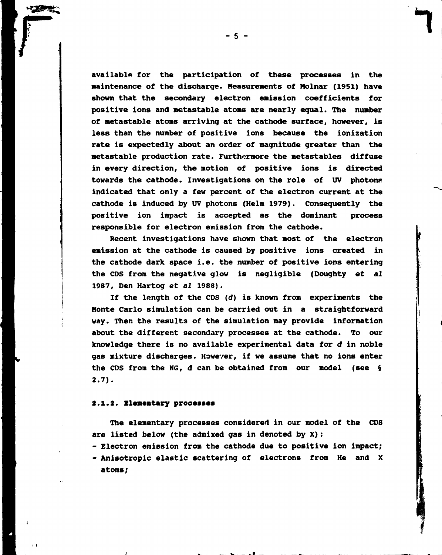**available for the participation of these processes in the maintenance of the discharge. Measurements of Molnár (1951) have shown that the secondary electron emission coefficients for positive ions and metastable atoms are nearly equal. The number of metastable atoms arriving at the cathode surface, however, is less than the number of positive ions because the ionization rate is expectedly about an order of magnitude greater than the metastable production rate. Furthermore the metastables diffuse in every direction, the motion of positive ions is directed**  towards the cathode. Investigations on the role of UV photons **indicated that only a few percent of the electron current at the cathode is induced by UV photons (Helm 1979). Consequently the positive ion impact is accepted as the dominant process responsible for electron emission from the cathode.** 

**Recent investigations have shown that most of the electron emission at the cathode is caused by positive ions created in the cathode dark space i.e. the number of positive ions entering the CDS from the negative glow is negligible (Doughty et** *al*  **1987, Den Hartog et** *al* **1988).** 

**If the length of the CDS (d) is known from experiments the Monte Carlo simulation can be carried out in a straightforward way. Then the results of the simulation may provide information about the different secondary processes at the cathode. To our knowledge there is no available experimental data for d in noble gas mixture discharges. However, if we assume that no ions enter the CDS from the NG,** *d* **can be obtained from our model (see § 2.7).** 

#### **2.1.2. Elementary processes**

**The elementary processes considered in our model of the CDS are listed below (the admixed gas in denoted by X):** 

**- Electron emission from the cathode due to positive ion impact; - Anisotropic elastic scattering of electrons from He and X atoms;**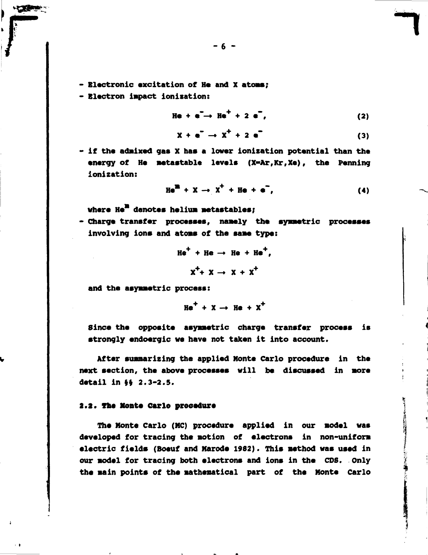- **6**
- **Electronic excitation of He and X atoms;**
- Electron impact ionization: **- Electron impact Ionisation:**

$$
\text{He} + e^- \rightarrow \text{He}^+ + 2 e^-, \qquad (2)
$$

$$
X + e^- \rightarrow X^+ + 2 e^-
$$
 (3)

**- if the admixed gas X has a lover ionization potential than the**  energy of He metastable levels (X=Ar, Kr, Xe), the Penning **ionization:** 

$$
Hem + X \rightarrow XT + He + en,
$$
 (4)

**where He\* denotes helium metastables;** 

**- Charge transfer processes, namely the symmetric processes involving ions and atoms of the same type:** 

$$
He+ + He \rightarrow He + He+,
$$
  

$$
x+ + x \rightarrow x + x+
$$

**and the asymmetric process:** 

$$
\text{He}^+ + \text{X} \rightarrow \text{He} + \text{X}^+
$$

**Since the opposite asymmetric charge transfer process is strongly endoergic we have not taken it into account.** 

**After summarizing the applied Monte Carlo procedure in the next section, the above processes will be discussed in more**  detail in §§ 2.3-2.5.

#### **2.2\* The Monte carlo procedure**

**The Monte Carlo (MC) procedure applied in our model was developed for tracing the motion of electrons in non-uniform electric fields (Boeuf and Marode 1982). This method was used in our model for tracing both electrons and ions in the CDS. only the main points of the mathematical part of the Monte Carlo**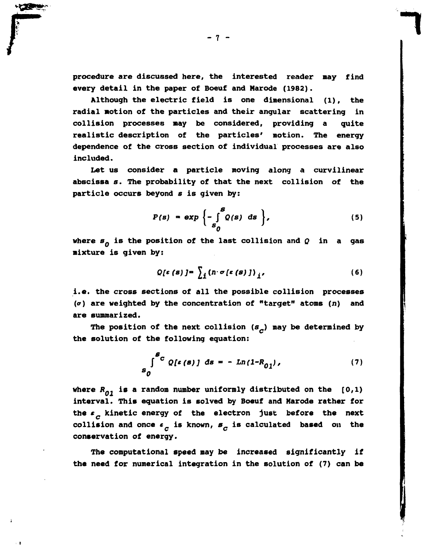**procedure are discussed here, the interested reader may find every detail in the paper of Boeuf and Marode (1982).** 

**Although the electric field is one dimensional (l), the radial Motion of the particles and their angular scattering in collision processes may be considered, providing a quite realistic description of the particles' motion. The energy dependence of the cross section of individual processes are also included.** 

**Let us consider a particle moving along a curvilinear abscissa** *s.* **The probability of that the next collision of the particle occurs beyond s is given by:** 

$$
P(s) = \exp\left\{-\int_{s_0}^{s} Q(s) \, ds\right\},\tag{5}
$$

**where** *sQ* **is the position of the last collision and** *Q* **in a gas mixture is given by:** 

$$
Q\left[\varepsilon\left(\mathbf{s}\right)\right]=\sum_{i}\left(n\cdot\sigma\left[\varepsilon\left(\mathbf{s}\right)\right]\right)_{i'}
$$
\n(6)

**i.e. the cross sections of all the possible collision processes (or) are weighted by the concentration of "target" atoms (л) and are summarized.** 

**The position of the next collision (s\_) may be determined by the solution of the following equation:** 

$$
\int_{S_0}^{S_C} Q[\epsilon(s)] ds = - Ln(1 - R_{01}), \qquad (7)
$$

**where** *R<sup>Q</sup> .* **is a random number uniformly distributed on the [0,1) interval. This equation is solved by Boeuf and Marode rather for the \* kinetic energy of the electron just before the next**  *С*  **collision and once «i s known,** *в"* **is calculated based on the у.** Видео и село в село в село в село в село в село в село в село в село в село в село в село в село в село в

The computational speed may be increased significantly if the need for numerical integration in the solution of (7) can be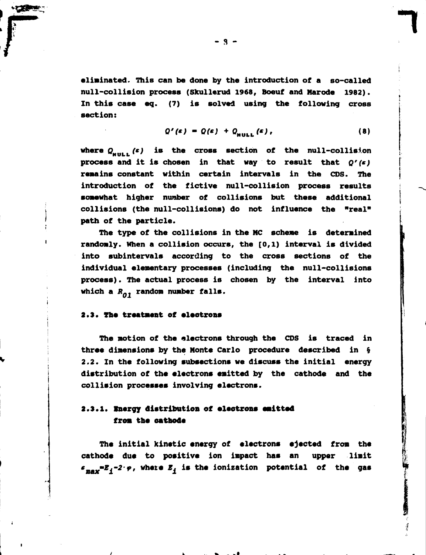**eliminated. This can be done by the introduction of a so-called null-collision process (Skullerud 1968, Boeuf and Marode 1982). In this case eq. (7) is solved using the following cross section:** 

$$
Q'(s) = Q(s) + Q_{\text{NULL}}(s), \qquad (8)
$$

where  $Q_{n+1}$ ,  $(s)$  is the cross section of the null-collision process and it is chosen in that way to result that  $Q'(\epsilon)$ **remains constant within certain intervals in the CDS. The** introduction of the fictive null-collision process results somewhat higher number of collisions but these additional collisions (the null-collisions) do not influence the "real" path of the particle.

The type of the collisions in the MC scheme is determined randomly. When a collision occurs, the  $[0,1)$  interval is divided into subintervals according to the cross sections of the individual elementary processes (including the null-collisions process). The actual process is chosen by the interval into processes in the actual process is chosen by the interval interval interval interval interval interval interval in<br>Process in the interval interval interval interval interval interval interval interval interval interval in

#### **2.3. The treatment of electrons**

**which a** *RQ1* **random number falls.** 

**The motion of the electrons through the CDS is traced in three dimensions by the Monte Carlo procedure described in § 2.2. In the following subsections we discuss the initial energy distribution of the electrons emitted by the cathode and the collision processes involving electrons.** 

# **2.3.1. Inergy distribution of electrons emitted from the cathode**

**The initial kinetic energy of electrons ejected from the cathode due to positive ion impact has an upper limit**   $\epsilon_{\text{max}} = E_A - 2 \cdot \varphi$ , where  $E_A$  is the ionization potential of the gas

**я**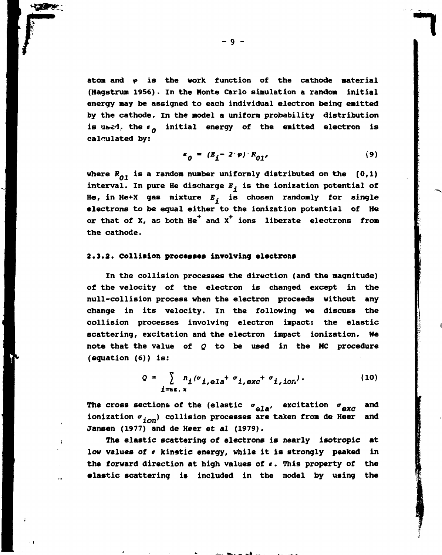**atom and** *<p* **is the work function of the cathode material (Hagstrum 1956). In the Honte Carlo simulation a random initial energy may be assigned to each individual electron being emitted by the cathode. In the model a uniform probability distribution is ubcd. the** *e* **initial energy of the emitted electron is calculated by:** 

$$
\varepsilon_0 = (E_j - 2 \cdot \varphi) \cdot R_{01'}
$$
 (9)

**where** *RQ1* **is a random number uniformly distributed on the [0,1) interval. In pure He discharge** *E.* **is the ionization potential of He, in He+X gas mixture** *E.* **is chosen randomly for single electrons to be equal either to the ionization potential of He**  or that of X, as both He<sup>+</sup> and X<sup>+</sup> ions liberate electrons from **the cathode.** 

#### **2.3.2. collision processes involving electrons**

**In the collision processes the direction (and the magnitude) of the velocity of the electron is changed except in the null-collision process when the electron proceeds without any change in its velocity. In the following we discuss the collision processes involving electron impact: the elastic scattering, excitation and the electron impact ionization. We note that the value of** *Q* **to be used in the MC procedure (equation (6)) is:** 

$$
Q = \sum_{i=n\epsilon, x} n_i (\sigma_{i, \text{ela}} + \sigma_{i, \text{exc}} + \sigma_{i, \text{ion}}). \tag{10}
$$

The cross sections of the (elastic  $\sigma$ <sub>ele</sub>, excitation  $\sigma$ <sub>exc</sub> and ionization  $\sigma$ <sub>ion</sub>) collision processes are taken from de Heer and **Jansen (1977) and de Heer et** *al* **(1979).** 

**The elastic scattering of electrons is nearly isotropic at**  low values of  $\epsilon$  kinetic energy, while it is strongly peaked in **the forward direction at high values of** *t***. This property of the elastic scattering is included in the model by using the** 

**- 9 -**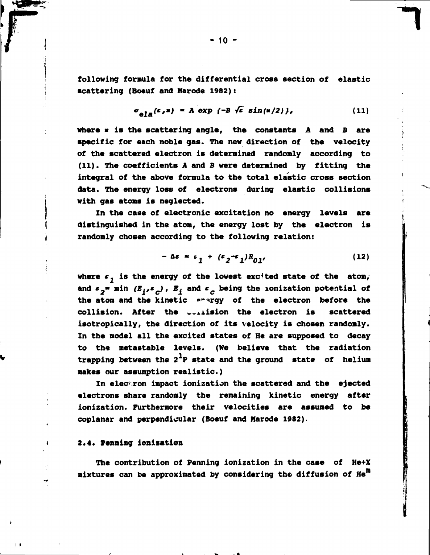**following formula for the differential cross section of elastic scattering (Boeuf and Marode 1982):** 

$$
\sigma_{\theta}^{[c,\pi]} = A \exp \{-B \sqrt{\varepsilon} \sin(\pi/2)\}, \qquad (11)
$$

**where « is the scattering angle, the constants A and** *В* **are specific for each noble gas. The new direction of the velocity of the scattered electron is determined randomly according to (11). The coefficients A and В were determined by fitting the integral of the above formula to the total elastic cross section data. The energy loss of electrons during elastic collisions with gas atoms is neglected.** 

**In the case of electronic excitation no energy levels are distinguished in the atom, the energy lost by the electron is randomly chosen according to the following relation:** 

$$
-\Delta\varepsilon = \varepsilon_1 + (\varepsilon_2 - \varepsilon_1)R_{01'}
$$
 (12)

where  $\epsilon$ , is the energy of the lowest excited state of the atom, and  $\epsilon_2$  min  $(E_i, \epsilon_n)$ ,  $E_j$  and  $\epsilon_n$  being the ionization potential of the atom and the kinetic erergy of the electron before the **collision. After the w.xiision the electron is scattered isotropicslly, the direction of its velocity is chosen randomly. In the model all the excited states of He are supposed to decay to the metastable levels. (We believe that the radiation**  trapping between the 2<sup>1</sup>P state and the ground state of helium **makes our assumption realistic.)** 

In electron impact ionization the scattered and the ejected **electrons share randomly the remaining kinetic energy after ionization. Furthermore their velocities are assumed to be coplanar and perpendicular (Boeuf and Marode 1982).** 

### **2.4. Penning ionization**

**The contribution of Penning ionization in the case of He+X mixtures can be approximated by considering the diffusion of Hen** 

 $-10 -$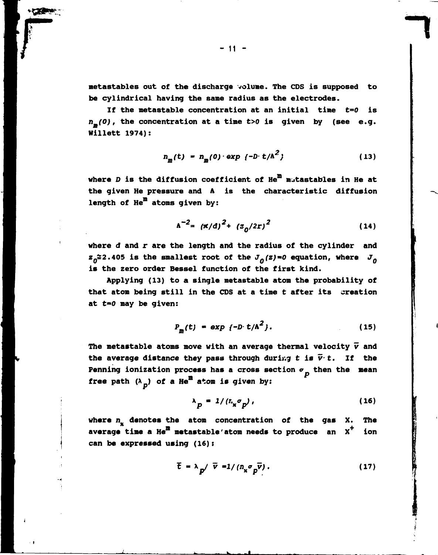**metastables out of the discharge volume. The CDS is supposed to be cylindrical having the same radius as the electrodes.** 

**If the metastable concentration at an initial time t=0 is n** *(0),* **the concentration at a time** *t>0* **is given by (see e.g. Hillett 1974):** 

$$
n_{m}(t) = n_{m}(0) \cdot \exp \{-D \cdot t/\Lambda^{2}\}\tag{13}
$$

**where** *D* **is the diffusion coefficient of Hen m^tastables in He at the given He pressure and A is the characteristic diffusion length of Hen atoms given by:** 

$$
\Lambda^{-2} = (\pi/d)^2 + (z_0/2r)^2 \tag{14}
$$

**where d and r are the length and the radius of the cylinder and**   $z_0 \approx 2.405$  is the smallest root of the  $J_0(z) = 0$  equation, where  $J_0$ **is the zero order Bessel function of the first kind.** 

**Applying (13) to a single metastable atom the probability of that atom being still in the CDS at a time t after its creation at** *t\*\*0* **may be given:** 

$$
P_m(t) = \exp\{-D \cdot t/A^2\}.
$$
 (15)

The metastable atoms move with an average thermal velocity  $\vec{v}$  and the average distance they pass through during  $t$  is  $\overline{v} \cdot t$ . If the **Penning ionization process has a cross section**  $\sigma$ **<sub>p</sub> then the mean free path**  $(\lambda_p)$  **of a He<sup>m</sup> atom is given by:** 

$$
\lambda_p = 1/(L_x \sigma_p), \qquad (16)
$$

**where** *n%* **denotes the atom concentration of the gas X. The**  average time a He<sup>m</sup> metastable' atom needs to produce an X<sup>+</sup> ion **can be expressed using (16):** 

$$
\bar{t} = \lambda_p / \bar{v} = 1 / (n_x \sigma_p \bar{v}). \qquad (17)
$$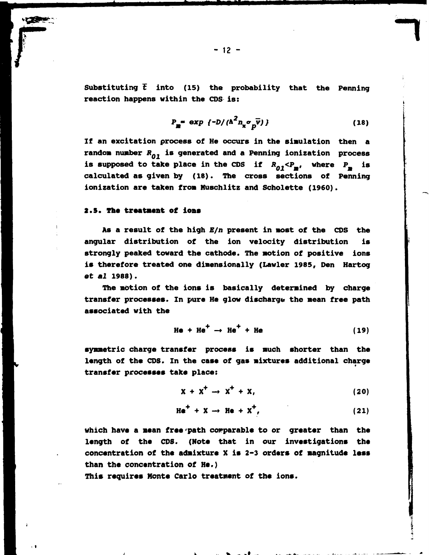**Substituting £ into (15) the probability that the Penning reaction happens within the CDS is:** 

$$
P_m = \exp \left\{-D / (\Lambda^2 n_x \sigma_p \vec{v})\right\} \tag{18}
$$

**If an excitation process of He occurs in the simulation then a random number** *RQ1* **is generated and a Penning ionization process**  is supposed to take place in the CDS if  $R_{0.1} < P_{\text{m}}$ , where  $P_{\text{m}}$  is calculated as given by (18). The cross sections of Penning ionization are taken from Muschlitz and Scholette (1960). **ionization are taken from Muschlitz and Scholette (I960).** 

### **2.5. The treatment of ions**

**As a result of the high** *E/n* **present in most of the CDS the angular distribution of the ion velocity distribution is strongly peaked toward the cathode. The motion of positive ions is therefore treated one dimensionally (Lawler 1985, Den Hartog et** *al* **1988).** 

**The motion of the ions is basically determined by charge transfer processes. In pure He glow discharge the mean free path associated with the** 

$$
He + He+ \rightarrow He+ + He
$$
 (19)

**symmetric charge transfer process is much shorter than the length of the CDS. In the case of gas mixtures additional charge transfer processes take place:** 

$$
X + X^{\dagger} \rightarrow X^{\dagger} + X, \qquad (20)
$$

$$
He^+ + X \rightarrow He + X^+, \qquad (21)
$$

**which have a mean free'path comparable to or greater than the length of the CDS. (Note that in our investigations the concentration of the admixture X is 2-3 orders of magnitude less than the concentration of He.)** 

**This requires Monte Carlo treatment of the ions.**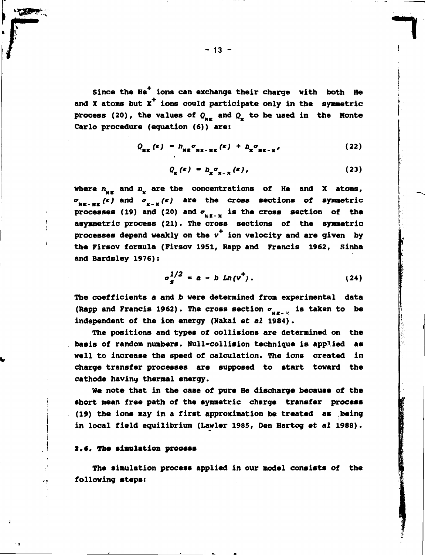Since the He<sup>+</sup> ions can exchange their charge with both He and X atoms but X<sup>+</sup> ions could participate only in the symmetric **process** (20), the values of  $Q_{\text{HF}}$  and  $Q_{\text{X}}$  to be used in the Monte **Carlo procedure (equation (6)) are:** 

$$
Q_{\text{NE}}(s) = n_{\text{NE}} \sigma_{\text{NE}-\text{NE}}(s) + n_{\text{NE}-\text{NE}} \qquad (22)
$$

$$
Q_{\mathbf{x}}(s) = n_{\mathbf{x}} \sigma_{\mathbf{x} - \mathbf{x}}(s), \qquad (23)
$$

where  $n_{\text{max}}$  and  $n_{\text{max}}$  are the concentrations of He and X atoms,  $\sigma_{_{\mathbf{M}\mathbf{E}}\sim\mathbf{H}\mathbf{E}}(s)$  and  $\sigma_{_{\mathbf{X}-\mathbf{X}}}(s)$  are the cross sections of symmetric  $\frac{1}{2}$  M  $\frac{1}{2}$   $\frac{1}{2}$  M  $\frac{1}{2}$   $\frac{1}{2}$  M  $\frac{1}{2}$ asymmetric process (21). The cross sections of the symmetric processes depend weakly on the v<sup>+</sup> ion velocity and are given by **processes depend weakly on the v ion velocity and are given by the Firsov formula (Firsov 1951, Rapp and Francis 1962, Sinha and Bardsley 1976):** 

$$
\sigma_S^{1/2} = a - b \ln(v^+).
$$
 (24)

**The coefficients a and b were determined from experimental data**  (Rapp and Francis 1962). The cross section  $\sigma_{\text{eff},\text{eff}}$  is taken to be **independent of the ion energy (Nakai et** *al* **1984).** 

**The positions and types of collisions are determined on the basis of random numbers. Null-collision technique is applied as well to increase the speed of calculation. The ions created in charge transfer processes are supposed to start toward the**  cathode having thermal energy.

**We note that in the case of pure He discharge because of the short mean free path of the symmetric charge transfer process (19) the ions may in a first approximation be treated as being in local field equilibrium (Lawler 1985, Den Hartog et** *al* **1988).** 

#### **2.#, The simulation process**

**The simulation process applied in our model consists of the following steps:**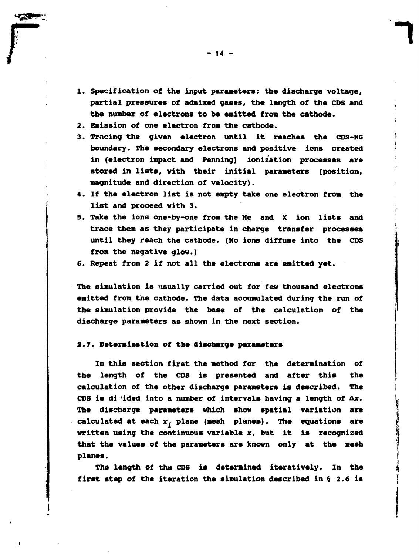- **1. Specification of the input parameters: the discharge voltage, partial pressures of admixed gases, the length of the CDS and the number of electrons to be emitted from the cathode.**
- **2. Emission of one electron from the cathode.**
- **3. Tracing the given electron until it reaches the CDS-NG boundary. The secondary electrons and positive ions created in (electron impact and Penning) ionization processes are stored in lists, with their initial parameters (position, magnitude and direction of velocity).**
- **4. If the electron list is not empty take one electron from the list and proceed with 3.**
- **5. Take the ions one-by-one from the He and X ion lists and trace them as they participate in charge transfer processes until they reach the cathode. (No ions diffuse into the CDS from the negative glow.)**
- **6. Repeat from 2 if not all the electrons are emitted yet.**

**The simulation is usually carried out for few thousand electrons emitted from the cathode. The data accumulated during the run of the simulation provide the base of the calculation of the discharge parameters as shown in the next section.** 

#### **2.7. Determination of the discbarge parameters**

**In this section first the method for the determination of the length of the CDS is presented and after this the calculation of the other discharge parameters is described. The**  CDS is divided into a number of intervals having a length of  $\Delta x$ . **The discharge parameters which show spatial variation are calculated at each** *XJ* **plane (mesh planes). The equations are written using the continuous variable x, but it is recognized that the values of the parameters are known only at the mesh planes.** 

**The length of the CDS is determined iteratively. In the first step of the iteration the simulation described in § 2.6 is**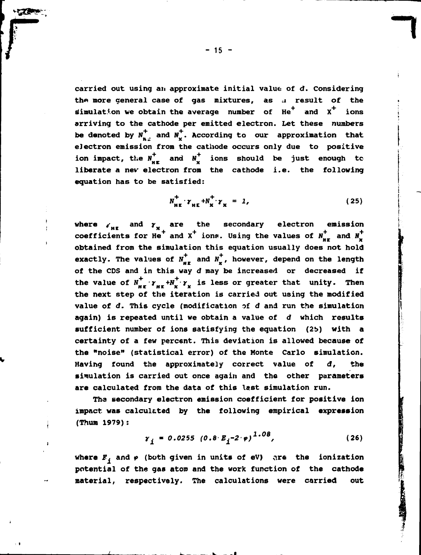**carried out using an approximate initial value of d. Considering**  the more general case of gas mixtures, as a result of the simulation we obtain the average number of He<sup>+</sup> and X<sup>+</sup> ions **arriving to the cathode per emitted electron. Let these numbers**  be denoted by  $N_{n_d}^+$  and  $N_{\mathbf{x}}^+$ . According to our approximation that **electron emission from the cathode occurs only due to positive**  ion impact, the  $N_{\text{NE}}^+$  and  $N_{\text{NE}}^+$  ions should be just enough to **liberate a nev electron from the cathode i.e. the following equation has to be satisfied:** 

$$
N_{\text{HE}}^+ \cdot \gamma_{\text{HE}} + N_{\text{X}}^+ \cdot \gamma_{\text{X}} = 1, \qquad (25)
$$

where  $V_{\text{MF}}$  and  $Y_{\text{N}}$  are the secondary electron emission  $^+$  and X<sup>+</sup> ions. Using the values of  $N_{\text{u}+}$  and  $N_{\text{u}}$ cobtained from the simulation this equation usually does not hold exactly. The values of  $N_{\text{MF}}^+$  and  $N_{\text{F}}^+$ , however, depend on the length of the CDS and in this way d may be increased or decreased if the value of  $N_{\text{H}x}^+ \cdot \gamma_{\text{H}x} + N_{\text{X}}^+ \cdot \gamma_{\text{X}}$  is less or greater that unity. Then the next step of the iteration is carried out using the modified value of d. This cycle (modification of d and run the simulation again) is repeated until we obtain a value of d which results sufficient number of ions satisfying the equation (25) with a certainty of a few percent. This deviation is allowed because of the "noise" (statistical error) of the Monte Carlo simulation. Having found the approximately correct value of d, the  $s$ imulation is carried out once again and the other parameters are calculated from the data of this last simulation run.

The secondary electron emission coefficient for positive ion impact was calculated by the following empirical expression **inum** 1979):

$$
\gamma_{\underline{i}} = 0.0255 (0.8 E_{\underline{i}} - 2 \cdot \varphi)^{1.08}, \qquad (26)
$$

where  $E_j$  and  $\varphi$  (both given in units of eV) are the ionization **potential of the gas atom and the work function of the cathode material, respectively. The calculations were carried out**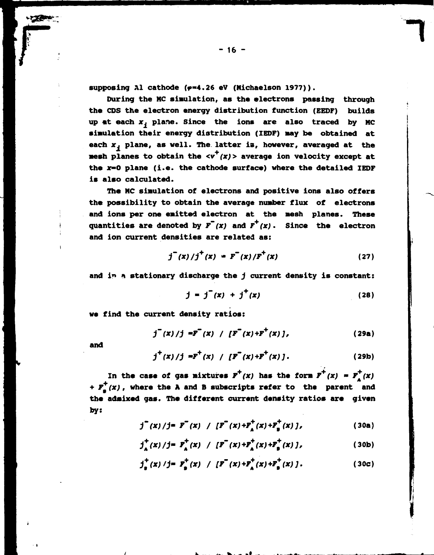supposing Al cathode ( $p=4.26$  eV (Michaelson 1977)).

**During the MC simulation, as the electrons passing through the CDS the electron energy distribution function (EEDF) builds**  up at each  $x_j$  plane. Since the ions are also traced by MC **simulation their energy distribution (IEDF) may be obtained at each** *x.* **plane, as well. The latter is, however, averaged at the mesh planes to obtain the**  $\langle v^+(x) \rangle$  **average ion velocity except at the x»0 plane (i.e. the cathode surface) where the detailed IEDF is also calculated.** 

**The MC simulation of electrons and positive ions also offers the possibility to obtain the average number flux of electrons and ions per one emitted electron at the mesh planes. These**  quantities are denoted by  $F(x)$  and  $F^{+}(x)$ . Since the electron **and ion current densities are related as:** 

$$
j^{(x)}/j^{(x)} = F^{(x)}/F^{(x)}
$$
 (27)

**and ir» « stationary discharge the** *j* **current density is constant:** 

$$
j = j^{T}(x) + j^{+}(x)
$$
 (28)

**we find the current density ratios:** 

$$
j^{(x)}/j = F^{(x)}/[F^{(x)+F^{+}(x)}],
$$
 (29a)

**and** 

$$
j^{+}(x)/j = F^{+}(x) / [F^{+}(x) + F^{+}(x)].
$$
 (29b)

In the case of gas mixtures  $F^{\top}(x)$  has the form  $F^{\top}(x) = F^{\top}(x)$ **+**  $F_a^T(x)$ , where the A and B subscripts refer to the parent and **the admixed gas. The different current density ratios are given by:** 

$$
j^{+}(x)/j = F^{+}(x) / [F^{+}(x) + F^{+}_{A}(x) + F^{+}_{B}(x) ],
$$
 (30a)

$$
j_A^+(x)/j = F_A^+(x) / [F^-(x) + F_A^+(x) + F_B^+(x) ]
$$
 (30b)

$$
j_{\mathbf{B}}^{+}(x)/j = F_{\mathbf{B}}^{+}(x) / [F^{+}(x) + F_{\mathbf{A}}^{+}(x) + F_{\mathbf{B}}^{+}(x) ]. \qquad (30c)
$$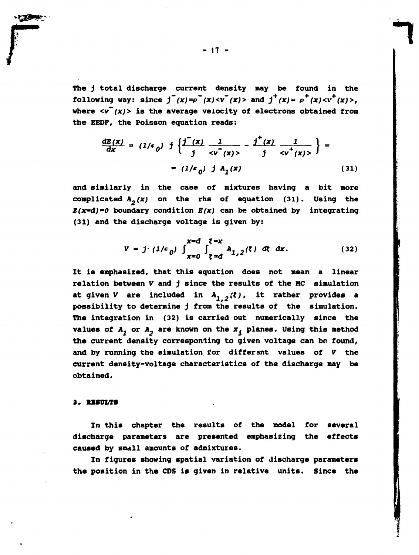The *j* total discharge current density may be found in the **following way:** since  $j^-(x) = \rho^-(x) < v^-(x) >$  and  $j^+(x) = \rho^-(x) < v^+(x) >$ , where  $\langle v^-(x)\rangle$  is the average velocity of electrons obtained from the EEDF, the Poisson equation reads:

$$
\frac{dE(x)}{dx} = (1/\epsilon_0) \int \left\{ \frac{j'(x)}{j} \frac{1}{  
=  $(1/\epsilon_0) \int A_1(x)$  (31)
$$

and similarly in the case of mixtures having a bit more complicated  $A_2(x)$  on the rhs of equation (31). Using the *B(x~d)-0* boundary condition *E(x)* can be obtained by integrating (31) and the discharge voltage is given by:

$$
V = j \cdot (1/\epsilon_0) \int_{x=0}^{x=d} \int_{\xi=d}^{\xi=x} A_{1,2}(\xi) \, dx \, dx. \qquad (32)
$$

It is emphasized, that this equation does not mean a linear relation between *V* and *j* since the results of the MC simulation at given *V* are included in  $A_{1,2}(z)$ , it rather provides a possibility to determine *j* from the results of the simulation. The integration in (32) is carried out numerically since the values of  $A_1$  or  $A_2$  are known on the  $x_i$  planes. Using this method the current density corresponding to given voltage can be found, **and** by running the simulation for differ ant values of *V* the current density-voltage characteristics of the discharge may be obtained.

#### **. RESULTS**

In this chapter the results of the model for several discharge parameters are presented emphasizing the effects caused by small amounts of admixtures.

In figures showing spatial variation of discharge parameters the position in the CDS is given in relative units. Since the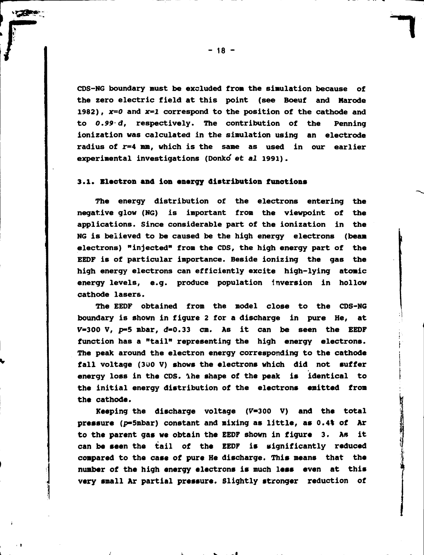**CDS-NG boundary must be excluded from the simulation because of the zero electric field at this point (see Boeuf and Marode 1982), x=0 and x=l correspond to the position of the cathode and to** *0.99- d,* **respectively. The contribution of the Penning ionization was calculated in the simulation using an electrode radius of r=4 mm, which is the same as used in our earlier experimental investigations (Donko' et** *al* **1991).** 

## 3.1. Electron and ion energy distribution functions

**The energy distribution of the electrons entering the negative glow (NG) is important from the viewpoint of the applications. Since considerable part of the ionization in the NG is believed to be caused be the high energy electrons (beam electrons) "injected" from the CDS, the high energy part of the EEDF is of particular importance. Beside ionizing the gas the high energy electrons can efficiently excite high-lying atomic energy levels, e.g. produce population inversion in hollow cathode lasers.** 

**The EEDF obtained from the model close to the CDS-NG boundary is shown in figure 2 for a discharge in pure He, at**   $V=300$  V,  $p=5$  mbar,  $d=0.33$  cm. As it can be seen the EEDF **function has a "tail" representing the high energy electrons. The peak around the electron energy corresponding to the cathode fall voltage (300 V) shows the electrons which did not suffer energy loss in the CDS. Ihe shape of the peak is identical to the initial energy distribution of the electrons emitted from the cathode.** 

**Keeping the discharge voltage (V-300 V) and the total pressure (p-5robar) constant and mixing as little, as 0.4% of Ar to the parent gas we obtain the EEDF shown in figure 3. As it can be seen the tail of the EEDF is significantly reduced compared to the case of pure He discharge. This means that the number of the high energy electrons is much less even at this very small Ar partial pressure. Slightly stronger reduction of**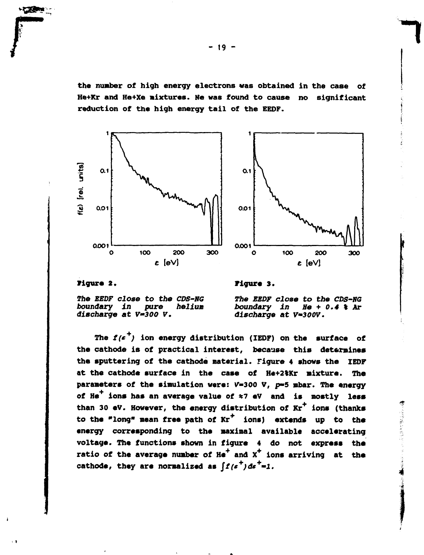**the number of high energy electrons vas obtained in the case of He+Kr and He+Xe mixtures. Ne was found to cause no significant reduction of the high energy tail of the EEDF.** 



#### **figure 2.**

 $\cdot$  1

**Figure 3.** 

**The** *EEDF close to the CDS-NG boundary in* discharge at V=300 V.

*The EEDF close to the CDS-NG boundary in He* **+** *0.4* **% Ar**  *discharge at V-300V.* 

●「性のことをいく、そのように、そのようにもののです。」

The  $f(e^{+})$  ion energy distribution (IEDF) on the surface of **the cathode is of practical interest, because this determines the sputtering of the cathode material. Figure 4 shows the IEDF at the cathode surface in the case of He+2tKr mixture. The parameters of the simulation were: V-300 V, p-5 mbar. The energy**  of He<sup>+</sup> ions has an average value of  $\approx$ 7 eV and is mostly less **than 30 eV. However, the energy distribution of Kr+ ions (thanks to the "long" mean free path of Kr\* ions) extends up to the energy corresponding to the maximal available accelerating voltage. The functions shown in figure 4 do not express the**  ratio of the average number of He<sup>+</sup> and X<sup>+</sup> ions arriving at the cathode, they are normalized as  $\int f(e^{T}) de^{T} = 1$ .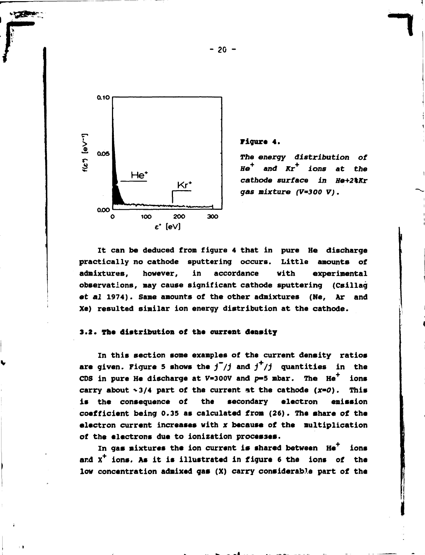

## **Figure 4.**

*The energy distribution of He and Kr ions at the cathode surface in He+2\Kr gas mixture (V=3O0 V).* 

**It can be deduced fron figure 4 that in pure He discharge practically no cathode sputtering occurs. Little anounts of adnixtures, however, in accordance with experinental observations, nay cause significant cathode sputtering (Csillag**  *et al* **1974). Sane anounts of the other adnixtures (Ne, Ar and Xe) resulted sinilar ion energy distribution at the cathode.** 

### **3.2. The distribution of the current density**

**In this section sone exanples of the current density ratios**  are given. Figure 5 shows the  $j^+/j$  and  $j^+/j$  quantities in the CDS in pure He discharge at  $V=300V$  and  $p=5$  mbar. The  $He<sup>7</sup>$  ions carry about  $\sim$ 3/4 part of the current at the cathode (x=0). This **is the consequence of the secondary electron enission coefficient being 0.35 as calculated from (26). The share of the electron current increases with x because of the nultiplication of the electrons due to ionization processes.** 

**In gas mixtures the ion current is shared between He+ ions and X+ ions. As it is illustrated in figure 6 the ions of the low concentration adnixed gas (X) carry considerable part of the** 

**- 20 -**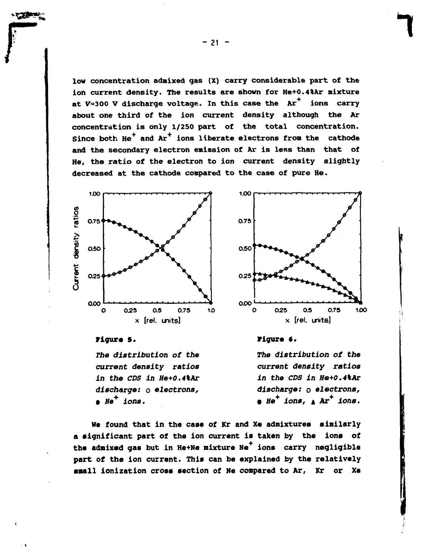low concentration admixed gas (X) carry considerable part of the ion current density. The results are shown for He+0.4%Ar mixture at  $V=300$  V discharge voltage. In this case the  $Ar^+$  ions carry about one third of the ion current density although the Ar concentration is only 1/250 part of the total concentration. Since both  $He^+$  and  $Ar^+$  ions liberate electrons from the cathode and the secondary electron emission of Ar is less than that of He, the ratio of the electron to ion current density slightly decreased at the cathode compared to the case of pure He.



# **Figure 5.**

*The distribution of the current density ratios in the CDS in He+0.4%Ar discharge:* **о** *electrons,*  **•** *He<sup>+</sup> ions.* 



# **Figure 6.**

*The distribution of the current density ratios in the CDS in He+0.4%Ar discharge: о electrons,*  **•** *He<sup>+</sup> ions,* **A Ar<sup>+</sup>**  *ions.* 

We found that in the case of Kr and Xe admixtures similarly a significant part of the ion current is taken by the ions of the admixed gas but in He+Ne mixture Ne<sup>+</sup> ions carry negligible part of the ion current. This can be explained by the relatively small ionization cross section of Ne compared to Ar, Kr or Xe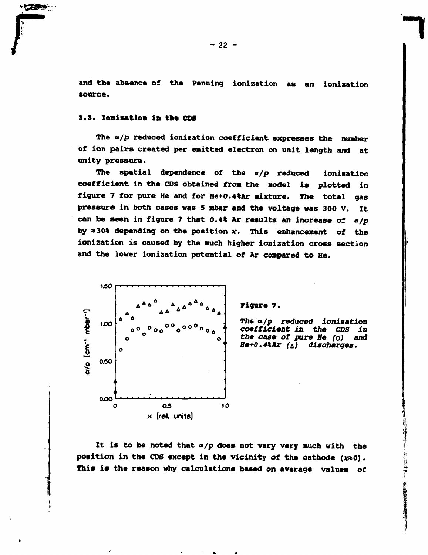**and the absence of the Penning ionization as an ionization source.** 

# **3.3. Ionisation in the CDS**

**The a/p reduced ionization coefficient expresses the nunber of ion pairs created per emitted electron on unit length and at unity pressure.** 

**The spatial dependence of the** *a/p* **reduced ionization coefficient in the CDS obtained fron the model is plotted in figure 7 for pure He and for He+0.4%Ar nixture. The total gas pressure in both cases was 5 mbar and the voltage was 300 V. It can be seen in figure 7 that 0.4% Ar results an increase of** *a/p*  **by «30% depending on the position** *x.* **This enhancenent of the ionization is caused by the much higher ionization cross section and the lower ionization potential of Ar compared to He.** 



#### **Figure 7.**

*The a/p reduced Ionization coefficient in the CDS in the case of pure Ие (о) end He+0.4\Ar* **Ы** *discharges.* 

**It is to be noted that** *a/p* **does not vary very much with the position in the CDS except in the vicinity of the cathode (x%0). This is the reason why calculations based on average values of**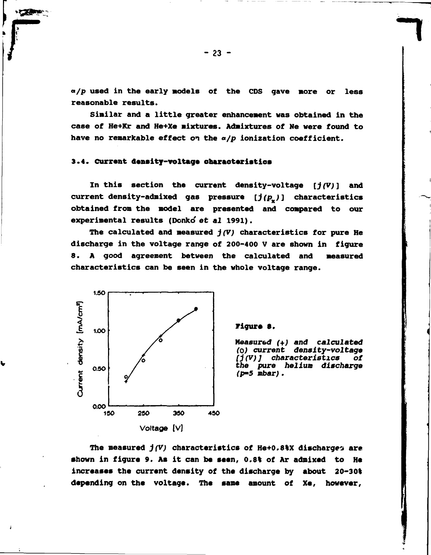**a/p used in the early models of the CDS gave more or less reasonable results.** 

**Similar and a little greater enhancement was obtained in the case of He+Kr and He+Xe mixtures. Admixtures of Ne were found to have no remarkable effect on the** *a/p* **ionization coefficient.** 

# **3.4. Current density-voltage characteristics**

**In this section the current density-voltage** *[j(V)***] and**  current density-admixed gas pressure  $[j(p_x)]$  characteristics **obtained from the model are presented and compared to our experimental results (Donko' et** *al* **1991).** 

**The calculated and measured** *j(V)* **characteristics for pure He discharge in the voltage range of 200-400 V are shown in figure 8. A good agreement between the calculated and measured characteristics can be seen in the whole voltage range.** 



t.

#### **Figure 8.**

**Measured** *(+) and calculated (0) current density-voltage*  **/J** *(V) ] characteristics of the pure helium discharge (p-5 mbar)***.** 

The measured  $j(V)$  characteristics of He+0.8%X discharges are **shown in figure 9. As it can be seen, 0.8% of Ar admixed to He increases the current density of the discharge by about 20-30% depending on the voltage. The same amount of Xe, however.**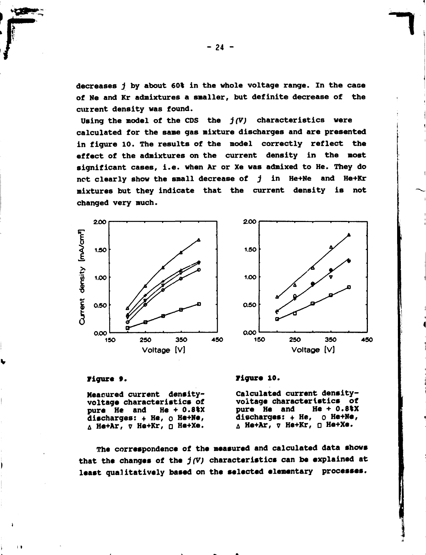**decreases** *j* **by about 60% in the whole voltage range. In the case of Ne and Kr admixtures a smaller, but definite decrease of the current density was found.** 

**Using the nodel of the CDS the** *j (V)* **characteristics were calculated for the sane gas nixture discharges and are presented in figure 10. The results of the nodel correctly reflect the effect of the admixtures on the current density in the nost significant cases, i.e. when Ar or Xe was admixed to He. They do net clearly show the small decrease of** *j* **in He+Ne and He+Kr mixtures but they indicate that the current density is not changed very much.** 





**~7** 

**I** 

#### **Figure 9.**

**Measured current densityvoltage characteristics of**  pure He and **discharges: + He, о He+Ne, He+Ar, v He+Kr, D He+Xe.** 

**Figure 10.** 

**Calculated current densityvoltage characteristics of**  pure **He** and **discharges: + He, о He+Ne, He+Ar,** *v* **He+Kr, о He+Xe.** 

**The correspondence of the measured and calculated data shows that the changes of the** *j(V)* **characteristics can be explained at least qualitatively based on the selected elementary processes.**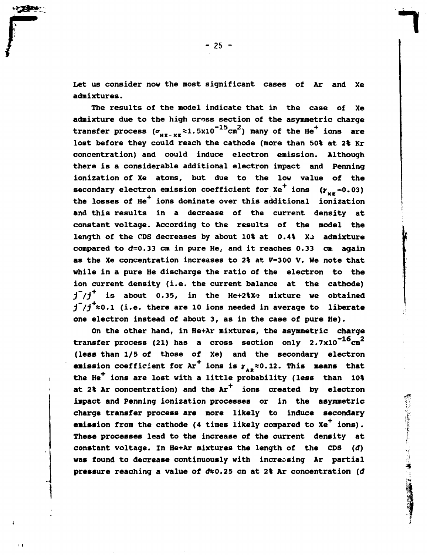**Let us consider now the most significant cases of Ar and Xe** 

**admixtures.** 

 $\mathbf{C}$ 

**The results of the model indicate that in the case of Xe admixture due to the high cross section of the asymmetric charge**  transfer process  $(\sigma_{_{\text{HE-XF}}} \approx 1.5 \times 10^{-15} \text{cm}^2)$  many of the He<sup>+</sup> ions are transfer processes.<br>That hefore they could reach the cathode (more than 50\$ at 2\$ Kr. HC~ XE concentration) and could induce electron emission. Although there is a considerable additional electron impact and Penning ionization of Xe atoms, but due to the low value of the **secondary electron emission coefficient for**  $Xe^+$  **ions**  $(Y_{xx}=0.03)$ the losses of He<sup>+</sup> ions dominate over this additional ionization and this results in a decrease of the current density at constant voltage. According to the results of the model the length of the CDS decreases by about 10% at 0.4% X<sub>2</sub> admixture compared to  $d=0.33$  cm in pure He, and it reaches  $0.33$  cm again as the Xe concentration increases to 2% at V=300 V. We note that while in a pure He discharge the ratio of the electron to the ion current density (i.e. the current balance at the cathode)  $\overline{1}^*/\overline{1}^+$  is about 0.35, in the He+2%X<sup>3</sup> mixture we obtained *j*<sup> $\uparrow$ </sup>/ $\uparrow$ <sup>*\**</sup>  $\approx$  0.1 (i.e. there are 10 ions needed in average to liberate one electron instead of about 3, as in the case of pure He).

On the other hand, in He+Ar mixtures, the asymmetric charge transfer process (21) has a cross section only 2.7x10<sup>-16</sup>cm<sup>2</sup> (less than 1/5 of those of Xe) and the secondary electron **emission** coefficient for  $Ar^+$  ions is  $\gamma_{AR} \approx 0.12$ . This means that the He<sup>+</sup> ions are lost with a little probability (less than 10% at 2% Ar concentration) and the Ar<sup>+</sup> ions created by electron impact and Penning ionization processes or in the asymmetric charge transfer process are more likely to induce secondary emission from the cathode (4 times likely compared to Xe<sup>+</sup> ions). These processes lead to the increase of the current density at constant voltage. In He+Ar mixtures the length of the CDS (d) was found to decrease continuously with increasing Ar partial pressure reaching a value of d<sub>\*0.25</sub> cm at 2% Ar concentration (d)

「そのこの「大学の大学をしたい」、「この人の学」(2) 社会の実施の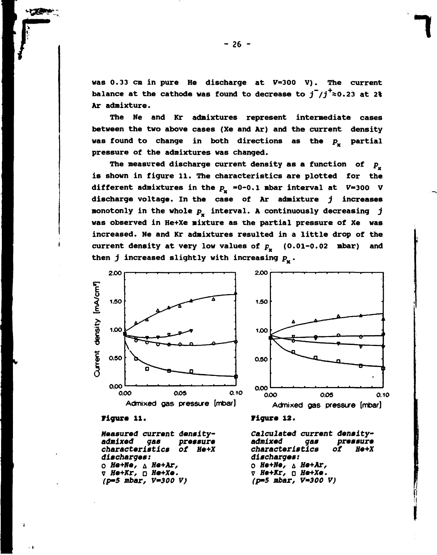was  $0.33$  cm in pure He discharge at  $V=300$  V). The current balance at the cathode was found to decrease to  $j^7/j^2 \approx 0.23$  at 2% Ar admixture.

The Ne and Kr admixtures represent intermediate cases between the two above cases (Xe and Ar) and the current density was found to change in both directions as the  $p_{\mathbf{v}}$  partial pressure of the admixtures was changed.

The measured discharge current density as a function of  $p_{n}$ is shown in figure 11. The characteristics are plotted for the different admixtures in the  $p_x = 0-0.1$  mbar interval at  $V=300$  V discharge voltage. In the case of Ar admixture *j* increases monotonly in the whole  $p_x$  interval. A continuously decreasing j was observed in He+Xe mixture as the partial pressure of Xe was increased. Ne and Kr admixtures resulted in a little drop of the current density at very low values of  $p_{u}$  (0.01-0.02 mbar) and then *j* increased slightly with increasing  $p_x$ .



*Measured current density*  characteristics of He+X discharges: *<i>d* He+Ne, ∆ He+Ar, 0 *He+Ne,* д *He+Ar,*  v *He+Kr,* о *He+Xe. (p-5 mbar, V~300 V)* 

**Figure** 12.

*Calculated current densityadmixed gas pressure characteristics ot He+X discharges: He+Ne,* д *He+Ar,*  v *He+Kr,* a *He+Xe. (p-5 mbar, V~300 V)* 

 $-26 -$ 

*1*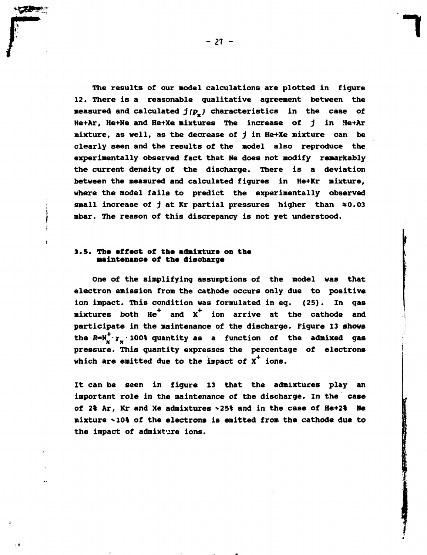The results of our model calculations are plotted in figure 12. There is a reasonable qualitative agreement between the measured and calculated  $j(p_a)$  characteristics in the case of He+Ar, He+Ne and He+Xe mixtures The increase of  $j$  in He+Ar mixture, as well, as the decrease of *j* in He+Xe mixture can be clearly seen and the results of the model also reproduce the experimentally observed fact that Ne does not modify remarkably the current density of the discharge. There is a deviation between the measured and calculated figures in He+Kr mixture, where the model fails to predict the experimentally observed small increase of *j* at Kr partial pressures higher than \*0.03 mbar. The reason of this discrepancy is not yet understood.

### 3.5. **The effect of the** admixture **on** the **maintenance of the discbarge**

 $\blacksquare$ 

One of the simplifying assumptions of the model was that electron emission from the cathode occurs only due to positive ion impact. This condition was formulated in eq. (25). In gas mixtures both  $He^{\dagger}$  and  $X^{\dagger}$  ion arrive at the cathode and participate in the maintenance of the discharge. Figure 13 shows the  $R = N_v^+ \cdot \gamma_v \cdot 100$  quantity as a function of the admixed gas pressure. This quantity expresses the percentage of electrons which are emitted due to the impact of  $x^+$  ions.

It can be seen in figure 13 that the admixtures play an important role in the maintenance of the discharge. In the case of 2% Ar, Kr and Xe admixtures ^25% and in the case of He+2% Ne mixture tl0% of the electrons is emitted from the cathode **due** to the impact of admixture ions.

- 27 -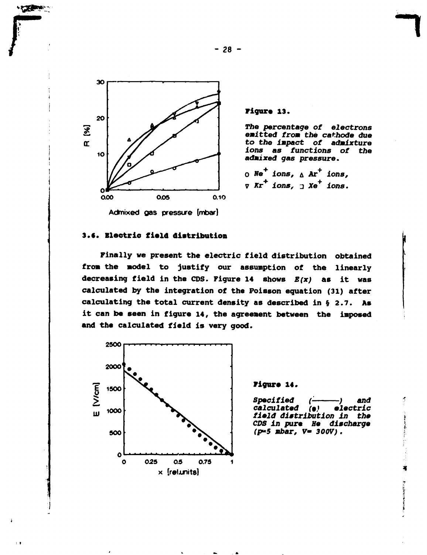

**ALLES CONTROLLS** 

 $\pm$  1

**Figure 13.** 

*The percentage* **of** *electrons emitted from the cathode due to the impact of admixture ions as functions of the admixed gas pressure.* 

# **Э.С.** Electric **field distribution**

Finally we present the electric field distribution obtained from the model to justify our assumption of the linearly decreasing field in the CDS. Figure 14 shows *E(x)* as it was calculated by the integration of the Poisson equation (31) after calculating the total current density as described in § 2.7. As it can be **seen** in figure 14, the agreement between the imposed and the calculated field is very good.



#### **Figure 14.**

*Specified calculated (- -) and (9) electric field distribution in the CDS in pure He discharge (p\*5 mbar,* **V-** *300V)* **.** 

**- 28 -**

*<sup>0</sup>* **We** *ions,* **д Ar<sup>+</sup>**  *ions,*  **7** *Kr ions, 2 Xe<sup>+</sup> ions.*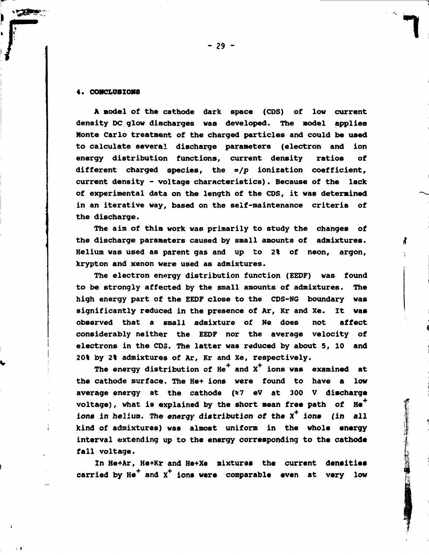#### **4. COHCLÜBIOM8**

**A model of the cathode dark space (CDS) of low current density DC glow discharges was developed. The model applies Monte Carlo treatment of the charged particles and could be used to calculate several discharge parameters (electron and ion energy distribution functions, current density ratios of different charged species, the** *a/p* **ionization coefficient, current density - voltage characteristics). Because of the lack of experimental data on the length of the CDS, it was determined in an iterative way, based on the self-maintenance criteria of the discharge.** 

**The aim of this work was primarily to study the changes of the discharge parameters caused by small amounts of admixtures. Helium was used as parent gas and up to 2% of neon, argon, krypton and xenon were used as admixtures.** 

**The electron energy distribution function (EEDF) was found to be strongly affected by the small amounts of admixtures. The high energy part of the EEDF close to the CDS-NG boundary was significantly reduced in the presence of Ar, Kr and Xe. It was observed that a small admixture of Ne does not affect considerably neither the EEDF nor the average velocity of electrons in the CDS. The latter was reduced by about 5, 10 and 20% by 2% admixtures of Ar, Kr and Xe, respectively.** 

The energy distribution of He<sup>+</sup> and X<sup>+</sup> ions was examined at **the cathode surface. The He+ ions were found to have a low average energy at the cathode (\*7 eV at 300 V discharge**  voltage), what is explained by the short mean free path of He<sup>+</sup> **ions** *in* **helium. The energy distribution** *ot* **the X <sup>+</sup> ions (in all kind of admixtures) was almost uniform in the whole energy interval extending up to the energy corresponding to the cathode fall voltage.** 

**In He+Ar, He+Kr and He+Xe mixtures the current densities carried by He+ and X+ ions were comparable even at very low**  医检验检尿管注射法 计字节 医肠结肠的 医皮肤的 医单位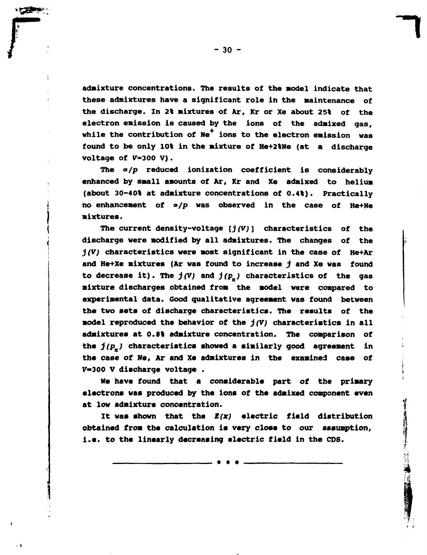**admixture concentrations. The results of the model indicate that these admixtures have a significant role in the maintenance of the discharge. In 2% mixtures of Ar, Kr or Xe about 25% of the electron emission is caused by the ions of the admixed gas,**  while the contribution of Ne<sup>+</sup> ions to the electron emission was **found to be only 10% in the mixture of He+2%Ne (at a discharge voltage of V=300 V).** 

**The** *a/p* **reduced ionization coefficient is considerably enhanced by small amounts of Ar, Kr and Xe admixed to helium (about 30-40% at admixture concentrations of 0.4%). Practically no enhancement of «/p was observed in the case of He+Ne mixtures.** 

**The current density-voltage** *[j(V)* **] characteristics of the discharge were modified by all admixtures. The changes of the**  *j(V)* **characteristics were most significant in the case of He+Ar and He+Xe mixtures (Ar was found to increase** *j* **and Xe was found to decrease it). The** *j(V)* **and** *J(PX)* **characteristics of the gas aixture discharges obtained from the model were compared to experimental data. Good qualitative agreement was found between the two sets of discharge characteristics. The results of the model reproduced the behavior of the** *j(V)* **characteristics in all admixtures at 0.8% admixture concentration. The comparison of the** *j(Px)* **characteristics showed a similarly good agreement in the case of Ne, Ar and Xe admixtures in the examined case of V-300 V discharge voltage .** 

**He have found that a considerable part of the primary electrons was produced by the ions of the admixed component even at low admixture concentration.** 

**It was shown that the** *S(x)* **electric field distribution obtained from the calculation is very close to our assumption, i.e. to the linearly decreasing electric field in the CDS.** 

\* \* \*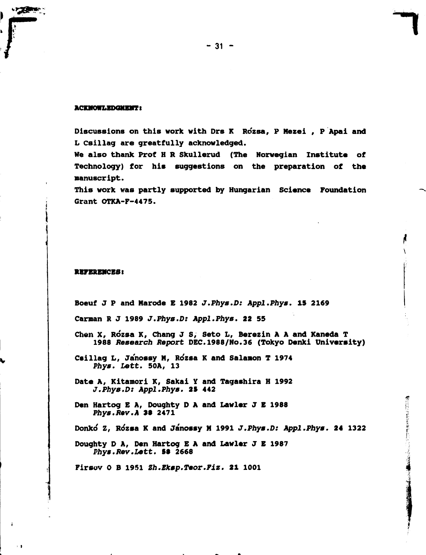#### **ACKMOWLEDGMENT :**

**Discussions on this work with Drs К Rozsa, P Mezei , P Apai and L Csillag are greatfully acknowledged.** 

**We also thank Prof H R Skullerud (The Norwegian Institute of Technology) for his suggestions on the preparation of the manuscript.** 

**This work was partly supported by Hungarian Science Foundation Grant OTKA-F-4475.** 

#### **REFERENCES!**

**Boeuf J Р and Marode Б 1982** *J.Phys.D: Appl.Phys.* **15 2169** 

**Carman R J 1989** *J.Phys.D: Appl.Phys.* **22 55** 

**Chen X, Rozsa К, Chang J S, Seto L, Berezin A A and Kaneda T 1988** *Ressarch Report* **DEC.1988/N0.36 (Tokyo Denki University)** 

**Csillag L, Ja'nossy M, Rozsa К and Salanon T 1974**  *Phys. Lett.* **50A, 13** 

**Date A, Kitanori K, Sakai Y and Tagashira H 1992**  *J.Phys.D: Appl.Phys.* **25 442** 

**Den Hartog E A, Doughty D A and Lawler J E 1988**  *Phys.Rev.A* **3§ 2471** 

**Donko Z, Ro\*zsa К and Janossy И 1991** *J.Phys.D: Appl.Phys.* **24 1322** 

第2012年3月4日に第2回

**Doughty D A, Den Hartog E A and Lawler J E 1987**  *Phys.Rev.Lett.* **58 2668** 

**Firsov О В 1951** *Zh.Bksp.Teor.Fiz.* **21 1001**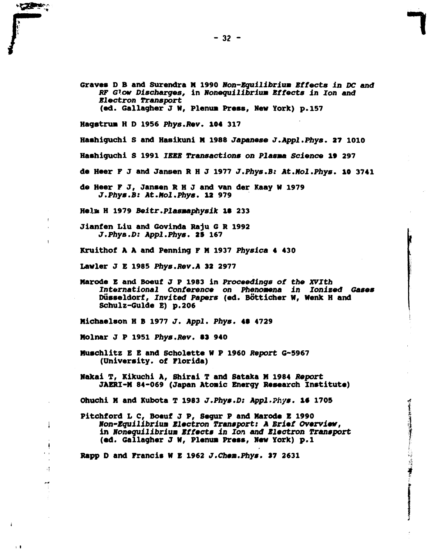Graves D B and Surendra M 1990 *Non-Equilibrium Effects in DC and RF Glow Discharges,* **in** *Honequilibrium Effects in Ion and Electron Transport*  **(ed. Gallagher J W, Plenum Press, New York) p. 157 Hagstrw H D 1956** *Phys.Rev.* **104 317** 

**Hashiguchi S and Hasikuni H 1988** *Japanese J.Appl.Phys.* **27 1010 Hashiguchi S 1991** *IEEE Transactions on Plasma Science* **19 297 de Heer F J and Jansen R H J 1977** *J.Phys.B: At.Hol.Phys.* **10 3741** 

**de Heer F J, Jansen R H J and van der Kaay И 1979**  *J.Phys.B: At.Hol.Phys.* **12 979** 

**Helm H 1979** *Beitr.Plasmaphysik* **18 233** 

**The Second Second** 

÷

Ĵ  $\bullet$ 

 $\frac{1}{2}$ 

 $\mathbf{r}$ 

**Jianfen Liu and Govinda Raju G R 1992**  *J.Phys.D: Appl.Phys.* **29 167** 

**Kruithof A A and Penning F H 1937** *Physics* **4 430** 

**Lavier J Б 1985** *Phys.Rev.A* **32 2977** 

**Marode Б and Boeuf J P 1983 in** *Proceedings of the XVIth International Conference on Phenomena in Ionized Gases*  **Düsseldorf,** *Invited Papers (ed.* **Botticher W, tfenk н and Schulz-Guide E) p.206** 

**Michaelson H В 1977** *J. Appl. Phys.* **48 4729** 

**Molnár J P 1951** *Phys.Rev.* **83 940** 

- **Muschlitz Б В and Scholette W P i960** *Report* **G-5967 (University, of Florida)**
- **Nakai T, Kikuchi A, Shirai T and Sataka И 1984** *Report*  **JAERI-M 84-069 (Japan Atonic Energy Research Institute)**

**Ohuchi И and Kubota T 1983** *J.Phys.D: Appl.Phys.* **18 1705** 

**Pitohford L C, Boeuf J P, Segur P and Marode E 1990**  *Non-Equilibrium Electron Transport: A Brief Overview,*  in Noneguilibrium Effects in Ion and Electron Transport **(ed. Gallagher J K, Planus Press, New York) p.l** 

清单

**Rapp D and Francis И E 1962** *J.Chem.Phys.* **37 2631**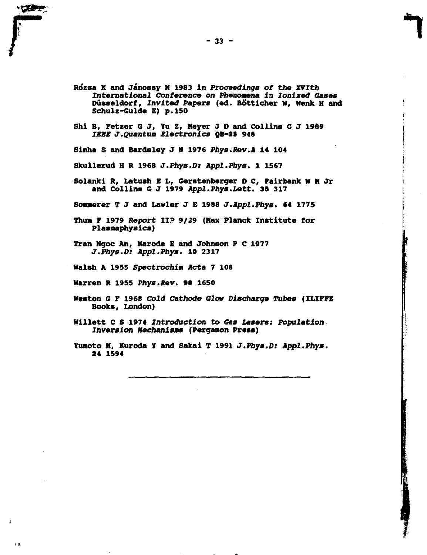

- **Willett С S 1974 Introduction** *to Gas Lasers: Population Inversion Mechanisms* **(Pergamon Press)**
- **Yunoto M, Kuroda Y and Sakai T 1991** *J.Phys.D: Appl.Phys.*  **24 1594**

 $\mathbf{1}$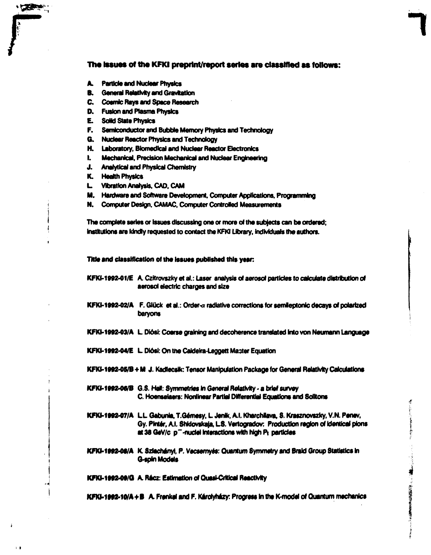#### The issues of the KFKI preprint/report series are classified as follows:

- **A. Particle and Nuclear Physics**
- **B.** General Relativity and Gravitation
- **C. Cosmic Rays and Space Research**
- **D. Fusion and Plasma Physics**
- **E. Solid State Physics**

**THE REAL PROPERTY** 

- **F. Semiconductor and Bubble Memory Physics and Technology**
- **G. Nuclear Reactor Physics and Technology**
- **H. Laboratory, Biomedical and Nuclear Reactor Electronics**
- **I. Mechanical, Precision Mechanical and Nuclear Engineering**
- **J. Analytical and Physical Chemistry**
- **K. HeatthPhystes**
- **L vibration Analysis, CAD, CAM**
- **M. Hardware and Software Development. Computer Applications. Programming**
- **N. Computer Design. CAMAC, Computer Controlled Measurements**

**The complete series or issues discussing one or more of the subjects can be ordered; Institutions are Wndry requested to contact the KFW Library. Individuals the authors.** 

Title and classification of the issues published this year:

- KFKI-1992-01/E A. Czitrovszky et al.: Laser analysis of aerosol particles to calculate distribution of **aerosol electric charges and size**
- KFKI-1992-02/A F. Glück et al.: Order-a radiative corrections for semileptonic decays of polarized **baryons**
- KFKI-1992-03/A L. Diósi: Coarse graining and decoherence translated into von Neumann Language
- **KFKI-1992-04/E L. Diósi: On the Caldeira-Leggett Master Equation**
- KFKI-1992-05/B + M J. Kadlecsik: Tensor Manipulation Package for General Relativity Calculations
- **KFKI-1992-06/B** G.S. Hall: Symmetries in General Relativity a brief survey **C. Hoensefaers: Nonlinear Partial Differential Equations and Solltons**
- KFKI-1992-07/A L.L. Gabunia, T.Gémesy, L. Jenik, A.I. Kharchilava, S. Krasznovszky, V.N. Penev, Gy. Pintér, A.I. Shidovskaja, L.S. Vertogradov: Production region of identical pions at 38 GeV/c p<sup>-</sup>-nuclei interactions with high Pt particles
- **KFKI-1992-08/A K. Szlachányi, P. Vecsernyés: Quantum Symmetry and Braid Group Statistics in G-spin Models**

**KFKI-1992-09/G A. Récz: Estimation of Quasi-Critical Reactivity** 

**KFKI-1992-10/A + B A. Frenkel and F. Károlyházy: Progress in the K-model of Quantum mechanics**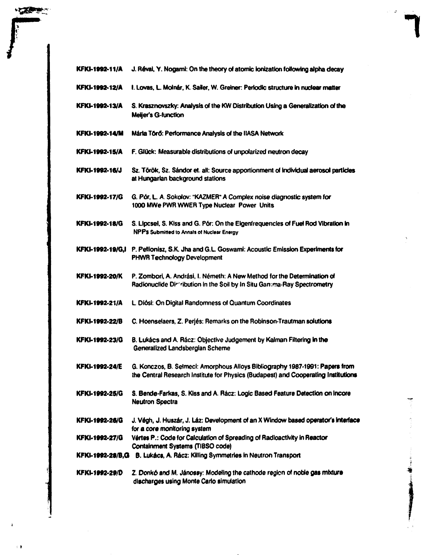| <b>KFKI-1992-11/A</b> | J. Révai, Y. Nogami: On the theory of atomic ionization following alpha decay                                                                                      |
|-----------------------|--------------------------------------------------------------------------------------------------------------------------------------------------------------------|
| <b>KFKI-1992-12/A</b> | I. Lovas, L. Molnár, K. Sailer, W. Greiner: Periodic structure in nuclear matter                                                                                   |
| <b>KFKI-1992-13/A</b> | S. Krasznovszky: Analysis of the KW Distribution Using a Generalization of the<br>Meijer's G-function                                                              |
| <b>KFKI-1992-14/M</b> | Mária Törő: Performance Analysis of the IIASA Network                                                                                                              |
| <b>KFKI-1992-15/A</b> | F. Glück: Measurable distributions of unpolarized neutron decay                                                                                                    |
| <b>KFKI-1992-16/J</b> | Sz. Török, Sz. Sándor et. all: Source apportionment of individual aerosol particles<br>at Hungarian background stations                                            |
| <b>KFKI-1992-17/G</b> | G. Pór, L. A. Sokolov: "KAZMER" A Complex noise diagnostic system for<br>1000 MWe PWR WWER Type Nuclear Power Units                                                |
| <b>KFKI-1992-18/G</b> | S. Lipcsel, S. Kiss and G. Pór: On the Eigenfrequencies of Fuel Rod Vibration in<br>NPPs Submitted to Annals of Nuclear Energy                                     |
| KFKI-1992-19/G,I      | P. Pellionisz, S.K. Jha and G.L. Goswami: Acoustic Emission Experiments for<br><b>PHWR Technology Development</b>                                                  |
| <b>KFKI-1992-20/K</b> | P. Zombori, A. Andrási, I. Németh: A New Method for the Determination of<br>Radionuclide Discribution in the Soil by In Situ Gamima-Ray Spectrometry               |
| <b>KFKI-1992-21/A</b> | L. Diósi: On Digital Randomness of Quantum Coordinates                                                                                                             |
| KFKI-1992-22/B        | C. Hoenselaers, Z. Perjés: Remarks on the Robinson-Trautman solutions                                                                                              |
| <b>KFKI-1992-23/G</b> | B. Lukács and A. Rácz: Objective Judgement by Kalman Filtering in the<br>Generalized Landsbergian Scheme                                                           |
| <b>KFKI-1992-24/E</b> | G. Konczos, B. Selmeci: Amorphous Alloys Bibliography 1987-1991: Papers from<br>the Central Research Institute for Physics (Budapest) and Cooperating Institutions |
| KFKI-1992-25/G        | S. Bende-Farkas, S. Kiss and A. Rácz: Logic Based Feature Detection on Incore<br><b>Neutron Spectra</b>                                                            |
| KFKI-1992-26/G        | J. Végh, J. Huszár, J. Láz: Development of an X Window based operator's interface<br>for a core monitoring system                                                  |
| KFKI-1992-27/G        | Vértes P.: Code for Calculation of Spreading of Radioactivity in Reactor<br>Containment Systems (TIBSO code)                                                       |
|                       | KFKI-1992-28/B, G B. Lukács, A. Rácz: Killing Symmetries in Neutron Transport                                                                                      |
| KFKI-1992-29/D        | Z. Donkó and M. Jánossy: Modeling the cathode region of noble gas mixture<br>discharges using Monte Carlo simulation                                               |

**SERVICE** 

 $\cdot$